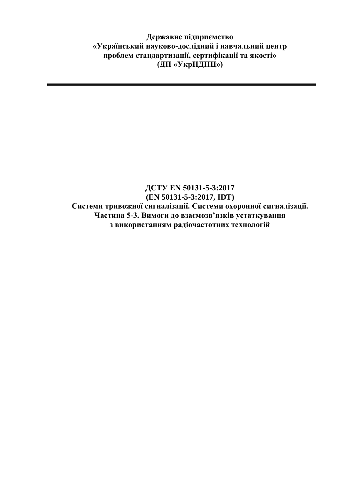**Державне підприємство «Український науково-дослідний і навчальний центр проблем стандартизації, сертифікації та якості» (ДП «УкрНДНЦ»)**

## **ДСТУ EN 50131-5-3:2017 (EN 50131-5-3:2017, IDT) Системи тривожної сигналізації. Системи охоронної сигналізації. Частина 5-3. Вимоги до взаємозв'язків устаткування з використанням радіочастотних технологій**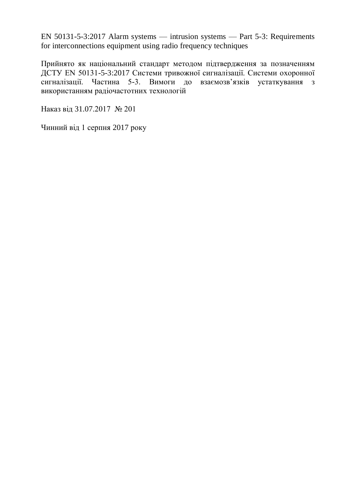EN 50131-5-3:2017 Alarm systems — intrusion systems — Part 5-3: Requirements for interconnections equipment using radio frequency techniques

Прийнято як національний стандарт методом підтвердження за позначенням ДСТУ EN 50131-5-3:2017 Системи тривожної сигналізації. Системи охоронної сигналізації. Частина 5-3. Вимоги до взаємозв'язків устаткування з використанням радіочастотних технологій

Наказ від 31.07.2017 № 201

Чинний від 1 серпня 2017 року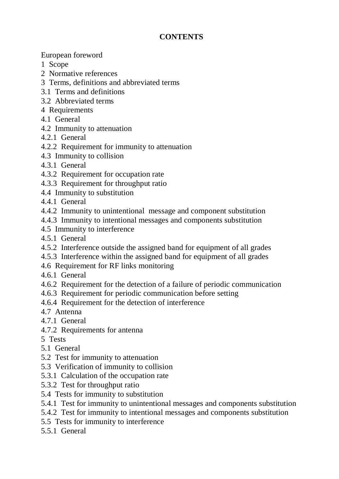## **CONTENTS**

European foreword

- 1 Scope
- 2 Normative references
- 3 Terms, definitions and abbreviated terms
- 3.1 Terms and definitions
- 3.2 Abbreviated terms
- 4 Requirements
- 4.1 General
- 4.2 Immunity to attenuation
- 4.2.1 General
- 4.2.2 Requirement for immunity to attenuation
- 4.3 Immunity to collision
- 4.3.1 General
- 4.3.2 Requirement for occupation rate
- 4.3.3 Requirement for throughput ratio
- 4.4 Immunity to substitution
- 4.4.1 General
- 4.4.2 Immunity to unintentional message and component substitution
- 4.4.3 Immunity to intentional messages and components substitution
- 4.5 Immunity to interference
- 4.5.1 General
- 4.5.2 Interference outside the assigned band for equipment of all grades
- 4.5.3 Interference within the assigned band for equipment of all grades
- 4.6 Requirement for RF links monitoring
- 4.6.1 General
- 4.6.2 Requirement for the detection of a failure of periodic communication
- 4.6.3 Requirement for periodic communication before setting
- 4.6.4 Requirement for the detection of interference
- 4.7 Antenna
- 4.7.1 General
- 4.7.2 Requirements for antenna
- 5 Tests
- 5.1 General
- 5.2 Test for immunity to attenuation
- 5.3 Verification of immunity to collision
- 5.3.1 Calculation of the occupation rate
- 5.3.2 Test for throughput ratio
- 5.4 Tests for immunity to substitution
- 5.4.1 Test for immunity to unintentional messages and components substitution
- 5.4.2 Test for immunity to intentional messages and components substitution
- 5.5 Tests for immunity to interference
- 5.5.1 General